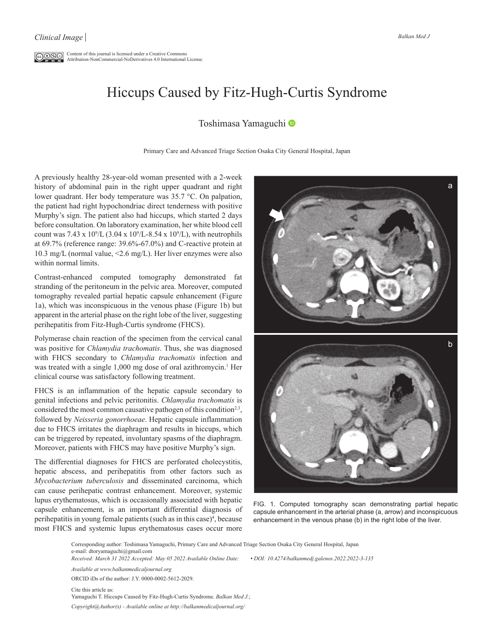$\overline{\mathbb{C}\mathbb{O}\mathbb{O}\mathbb{O}}$  Content of this journal is licensed under a Creative Commons Attribution-NonCommercial-NoDerivatives 4.0 International License.

## Hiccups Caused by Fitz-Hugh-Curtis Syndrome

## Toshimasa Yamaguchi

Primary Care and Advanced Triage Section Osaka City General Hospital, Japan

A previously healthy 28-year-old woman presented with a 2-week history of abdominal pain in the right upper quadrant and right lower quadrant. Her body temperature was 35.7 °C. On palpation, the patient had right hypochondriac direct tenderness with positive Murphy's sign. The patient also had hiccups, which started 2 days before consultation. On laboratory examination, her white blood cell count was  $7.43 \times 10^9$ /L  $(3.04 \times 10^9$ /L-8.54 x  $10^9$ /L), with neutrophils at 69.7% (reference range: 39.6%-67.0%) and C-reactive protein at 10.3 mg/L (normal value, <2.6 mg/L). Her liver enzymes were also within normal limits.

Contrast-enhanced computed tomography demonstrated fat stranding of the peritoneum in the pelvic area. Moreover, computed tomography revealed partial hepatic capsule enhancement (Figure 1a), which was inconspicuous in the venous phase (Figure 1b) but apparent in the arterial phase on the right lobe of the liver, suggesting perihepatitis from Fitz-Hugh-Curtis syndrome (FHCS).

Polymerase chain reaction of the specimen from the cervical canal was positive for *Chlamydia trachomatis*. Thus, she was diagnosed with FHCS secondary to *Chlamydia trachomatis* infection and was treated with a single 1,000 mg dose of oral azithromycin.<sup>1</sup> Her clinical course was satisfactory following treatment.

FHCS is an inflammation of the hepatic capsule secondary to genital infections and pelvic peritonitis. *Chlamydia trachomatis* is considered the most common causative pathogen of this condition<sup>2,3</sup>, followed by *Neisseria gonorrhoeae*. Hepatic capsule inflammation due to FHCS irritates the diaphragm and results in hiccups, which can be triggered by repeated, involuntary spasms of the diaphragm. Moreover, patients with FHCS may have positive Murphy's sign.

The differential diagnoses for FHCS are perforated cholecystitis, hepatic abscess, and perihepatitis from other factors such as *Mycobacterium tuberculosis* and disseminated carcinoma, which can cause perihepatic contrast enhancement. Moreover, systemic lupus erythematosus, which is occasionally associated with hepatic capsule enhancement, is an important differential diagnosis of perihepatitis in young female patients (such as in this case)<sup>4</sup>, because most FHCS and systemic lupus erythematosus cases occur more



FIG. 1. Computed tomography scan demonstrating partial hepatic capsule enhancement in the arterial phase (a, arrow) and inconspicuous enhancement in the venous phase (b) in the right lobe of the liver.

Corresponding author: Toshimasa Yamaguchi, Primary Care and Advanced Triage Section Osaka City General Hospital, Japan e-mail: dtoryamaguchi@gmail.com

*Received: March 31 2022 Accepted: May 05 2022 Available Online Date: • DOI: 10.4274/balkanmedj.galenos.2022.2022-3-135*

*Available at www.balkanmedicaljournal.org*

ORCID iDs of the author: J.Y. 0000-0002-5612-2029.

Cite this article as: Yamaguchi T. Hiccups Caused by Fitz-Hugh-Curtis Syndrome. *Balkan Med J.*; *Copyright@Author(s) - Available online at http://balkanmedicaljournal.org/*